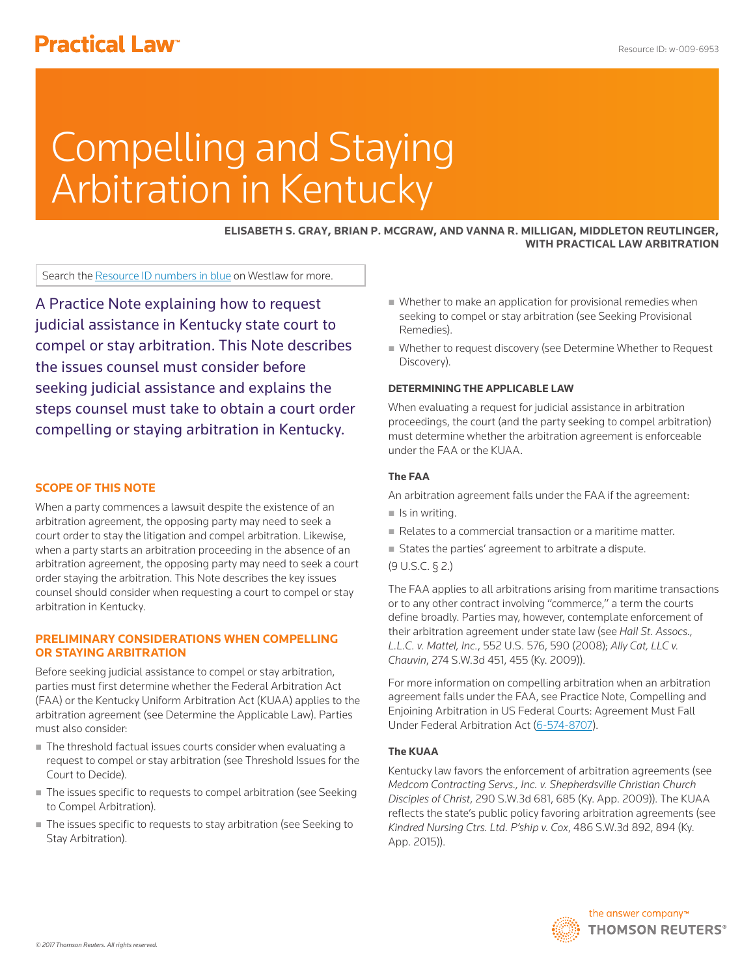# **Practical Law<sup>®</sup>**

# Compelling and Staying Arbitration in Kentucky

**ELISABETH S. GRAY, BRIAN P. MCGRAW, AND VANNA R. MILLIGAN, MIDDLETON REUTLINGER, WITH PRACTICAL LAW ARBITRATION**

Search the Resource ID numbers in blue on Westlaw for more.

A Practice Note explaining how to request judicial assistance in Kentucky state court to compel or stay arbitration. This Note describes the issues counsel must consider before seeking judicial assistance and explains the steps counsel must take to obtain a court order compelling or staying arbitration in Kentucky.

# **SCOPE OF THIS NOTE**

When a party commences a lawsuit despite the existence of an arbitration agreement, the opposing party may need to seek a court order to stay the litigation and compel arbitration. Likewise, when a party starts an arbitration proceeding in the absence of an arbitration agreement, the opposing party may need to seek a court order staying the arbitration. This Note describes the key issues counsel should consider when requesting a court to compel or stay arbitration in Kentucky.

# **PRELIMINARY CONSIDERATIONS WHEN COMPELLING OR STAYING ARBITRATION**

Before seeking judicial assistance to compel or stay arbitration, parties must first determine whether the Federal Arbitration Act (FAA) or the Kentucky Uniform Arbitration Act (KUAA) applies to the arbitration agreement (see Determine the Applicable Law). Parties must also consider:

- The threshold factual issues courts consider when evaluating a request to compel or stay arbitration (see Threshold Issues for the Court to Decide).
- The issues specific to requests to compel arbitration (see Seeking to Compel Arbitration).
- The issues specific to requests to stay arbitration (see Seeking to Stay Arbitration).
- Whether to make an application for provisional remedies when seeking to compel or stay arbitration (see Seeking Provisional Remedies).
- Whether to request discovery (see Determine Whether to Request Discovery).

# **DETERMINING THE APPLICABLE LAW**

When evaluating a request for judicial assistance in arbitration proceedings, the court (and the party seeking to compel arbitration) must determine whether the arbitration agreement is enforceable under the FAA or the KUAA.

### **The FAA**

An arbitration agreement falls under the FAA if the agreement:

- $\blacksquare$  Is in writing.
- Relates to a commercial transaction or a maritime matter.
- States the parties' agreement to arbitrate a dispute.
- (9 U.S.C. § 2.)

The FAA applies to all arbitrations arising from maritime transactions or to any other contract involving "commerce," a term the courts define broadly. Parties may, however, contemplate enforcement of their arbitration agreement under state law (see *Hall St. Assocs., L.L.C. v. Mattel, Inc.*, 552 U.S. 576, 590 (2008); *Ally Cat, LLC v. Chauvin*, 274 S.W.3d 451, 455 (Ky. 2009)).

For more information on compelling arbitration when an arbitration agreement falls under the FAA, see Practice Note, Compelling and Enjoining Arbitration in US Federal Courts: Agreement Must Fall Under Federal Arbitration Act (6-574-8707).

#### **The KUAA**

Kentucky law favors the enforcement of arbitration agreements (see *Medcom Contracting Servs., Inc. v. Shepherdsville Christian Church Disciples of Christ*, 290 S.W.3d 681, 685 (Ky. App. 2009)). The KUAA reflects the state's public policy favoring arbitration agreements (see *Kindred Nursing Ctrs. Ltd. P'ship v. Cox*, 486 S.W.3d 892, 894 (Ky. App. 2015)).

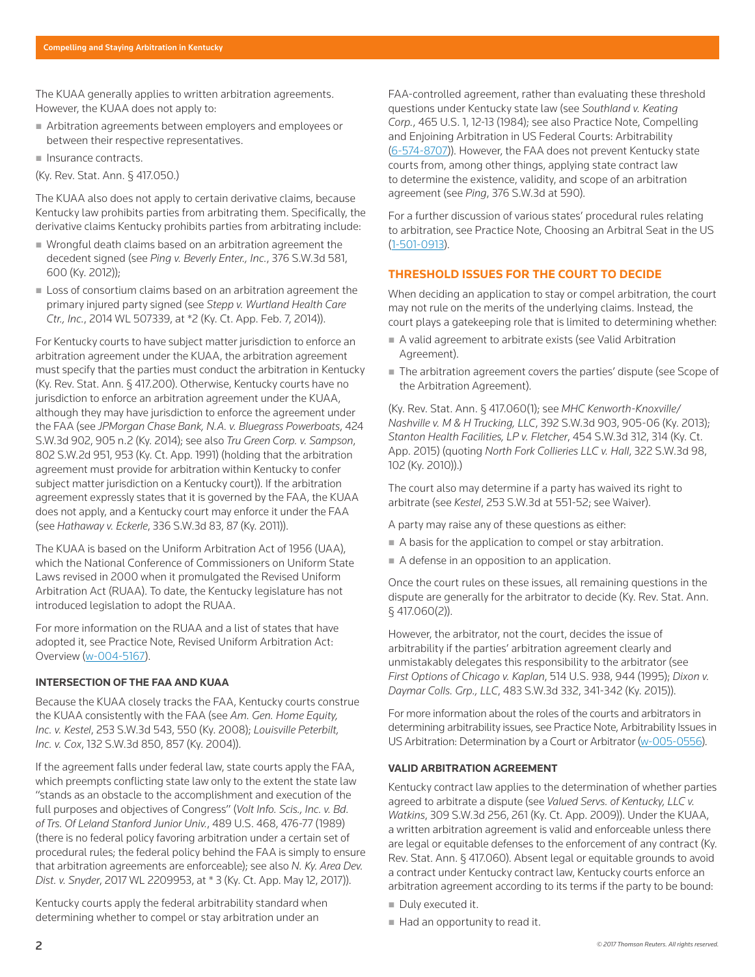The KUAA generally applies to written arbitration agreements. However, the KUAA does not apply to:

- Arbitration agreements between employers and employees or between their respective representatives.
- Insurance contracts.
- (Ky. Rev. Stat. Ann. § 417.050.)

The KUAA also does not apply to certain derivative claims, because Kentucky law prohibits parties from arbitrating them. Specifically, the derivative claims Kentucky prohibits parties from arbitrating include:

- Wrongful death claims based on an arbitration agreement the decedent signed (see *Ping v. Beverly Enter., Inc.*, 376 S.W.3d 581, 600 (Ky. 2012));
- **Loss of consortium claims based on an arbitration agreement the** primary injured party signed (see *Stepp v. Wurtland Health Care Ctr., Inc.*, 2014 WL 507339, at \*2 (Ky. Ct. App. Feb. 7, 2014)).

For Kentucky courts to have subject matter jurisdiction to enforce an arbitration agreement under the KUAA, the arbitration agreement must specify that the parties must conduct the arbitration in Kentucky (Ky. Rev. Stat. Ann. § 417.200). Otherwise, Kentucky courts have no jurisdiction to enforce an arbitration agreement under the KUAA, although they may have jurisdiction to enforce the agreement under the FAA (see *JPMorgan Chase Bank, N.A. v. Bluegrass Powerboats*, 424 S.W.3d 902, 905 n.2 (Ky. 2014); see also *Tru Green Corp. v. Sampson*, 802 S.W.2d 951, 953 (Ky. Ct. App. 1991) (holding that the arbitration agreement must provide for arbitration within Kentucky to confer subject matter jurisdiction on a Kentucky court)). If the arbitration agreement expressly states that it is governed by the FAA, the KUAA does not apply, and a Kentucky court may enforce it under the FAA (see *Hathaway v. Eckerle*, 336 S.W.3d 83, 87 (Ky. 2011)).

The KUAA is based on the Uniform Arbitration Act of 1956 (UAA), which the National Conference of Commissioners on Uniform State Laws revised in 2000 when it promulgated the Revised Uniform Arbitration Act (RUAA). To date, the Kentucky legislature has not introduced legislation to adopt the RUAA.

For more information on the RUAA and a list of states that have adopted it, see Practice Note, Revised Uniform Arbitration Act: Overview (w-004-5167).

# **INTERSECTION OF THE FAA AND KUAA**

Because the KUAA closely tracks the FAA, Kentucky courts construe the KUAA consistently with the FAA (see *Am. Gen. Home Equity, Inc. v. Kestel*, 253 S.W.3d 543, 550 (Ky. 2008); *Louisville Peterbilt, Inc. v. Cox*, 132 S.W.3d 850, 857 (Ky. 2004)).

If the agreement falls under federal law, state courts apply the FAA, which preempts conflicting state law only to the extent the state law "stands as an obstacle to the accomplishment and execution of the full purposes and objectives of Congress" (*Volt Info. Scis., Inc. v. Bd. of Trs. Of Leland Stanford Junior Univ.*, 489 U.S. 468, 476-77 (1989) (there is no federal policy favoring arbitration under a certain set of procedural rules; the federal policy behind the FAA is simply to ensure that arbitration agreements are enforceable); see also *N. Ky. Area Dev. Dist. v. Snyder*, 2017 WL 2209953, at \* 3 (Ky. Ct. App. May 12, 2017)).

Kentucky courts apply the federal arbitrability standard when determining whether to compel or stay arbitration under an

FAA-controlled agreement, rather than evaluating these threshold questions under Kentucky state law (see *Southland v. Keating Corp.*, 465 U.S. 1, 12-13 (1984); see also Practice Note, Compelling and Enjoining Arbitration in US Federal Courts: Arbitrability (6-574-8707)). However, the FAA does not prevent Kentucky state courts from, among other things, applying state contract law to determine the existence, validity, and scope of an arbitration agreement (see *Ping*, 376 S.W.3d at 590).

For a further discussion of various states' procedural rules relating to arbitration, see Practice Note, Choosing an Arbitral Seat in the US (1-501-0913).

# **THRESHOLD ISSUES FOR THE COURT TO DECIDE**

When deciding an application to stay or compel arbitration, the court may not rule on the merits of the underlying claims. Instead, the court plays a gatekeeping role that is limited to determining whether:

- A valid agreement to arbitrate exists (see Valid Arbitration Agreement).
- The arbitration agreement covers the parties' dispute (see Scope of the Arbitration Agreement).

(Ky. Rev. Stat. Ann. § 417.060(1); see *MHC Kenworth-Knoxville/ Nashville v. M & H Trucking, LLC*, 392 S.W.3d 903, 905-06 (Ky. 2013); *Stanton Health Facilities, LP v. Fletcher*, 454 S.W.3d 312, 314 (Ky. Ct. App. 2015) (quoting *North Fork Collieries LLC v. Hall*, 322 S.W.3d 98, 102 (Ky. 2010)).)

The court also may determine if a party has waived its right to arbitrate (see *Kestel*, 253 S.W.3d at 551-52; see Waiver).

A party may raise any of these questions as either:

- A basis for the application to compel or stay arbitration.
- A defense in an opposition to an application.

Once the court rules on these issues, all remaining questions in the dispute are generally for the arbitrator to decide (Ky. Rev. Stat. Ann. § 417.060(2)).

However, the arbitrator, not the court, decides the issue of arbitrability if the parties' arbitration agreement clearly and unmistakably delegates this responsibility to the arbitrator (see *First Options of Chicago v. Kaplan*, 514 U.S. 938, 944 (1995); *Dixon v. Daymar Colls. Grp., LLC*, 483 S.W.3d 332, 341-342 (Ky. 2015)).

For more information about the roles of the courts and arbitrators in determining arbitrability issues, see Practice Note, Arbitrability Issues in US Arbitration: Determination by a Court or Arbitrator (w-005-0556).

# **VALID ARBITRATION AGREEMENT**

Kentucky contract law applies to the determination of whether parties agreed to arbitrate a dispute (see *Valued Servs. of Kentucky, LLC v. Watkins*, 309 S.W.3d 256, 261 (Ky. Ct. App. 2009)). Under the KUAA, a written arbitration agreement is valid and enforceable unless there are legal or equitable defenses to the enforcement of any contract (Ky. Rev. Stat. Ann. § 417.060). Absent legal or equitable grounds to avoid a contract under Kentucky contract law, Kentucky courts enforce an arbitration agreement according to its terms if the party to be bound:

- Duly executed it.
- Had an opportunity to read it.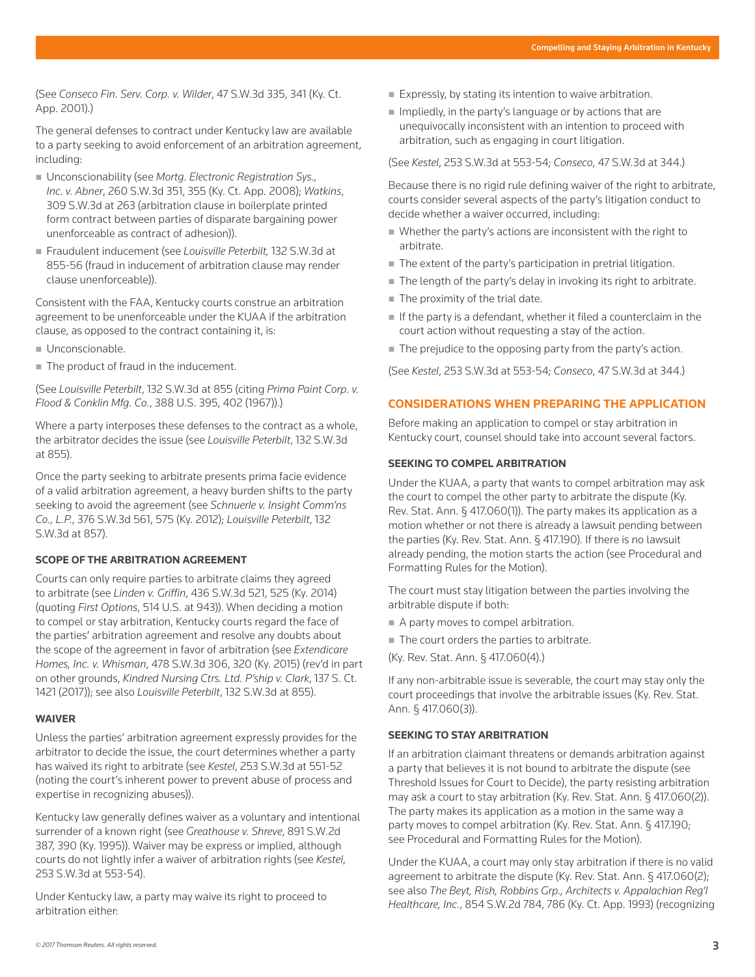(See *Conseco Fin. Serv. Corp. v. Wilder*, 47 S.W.3d 335, 341 (Ky. Ct. App. 2001).)

The general defenses to contract under Kentucky law are available to a party seeking to avoid enforcement of an arbitration agreement, including:

- Unconscionability (see Mortg. Electronic Registration Sys., *Inc. v. Abner*, 260 S.W.3d 351, 355 (Ky. Ct. App. 2008); *Watkins*, 309 S.W.3d at 263 (arbitration clause in boilerplate printed form contract between parties of disparate bargaining power unenforceable as contract of adhesion)).
- Fraudulent inducement (see *Louisville Peterbilt,* 132 S.W.3d at 855-56 (fraud in inducement of arbitration clause may render clause unenforceable)).

Consistent with the FAA, Kentucky courts construe an arbitration agreement to be unenforceable under the KUAA if the arbitration clause, as opposed to the contract containing it, is:

- Unconscionable.
- The product of fraud in the inducement.

(See *Louisville Peterbilt*, 132 S.W.3d at 855 (citing *Prima Paint Corp. v. Flood & Conklin Mfg. Co.*, 388 U.S. 395, 402 (1967)).)

Where a party interposes these defenses to the contract as a whole, the arbitrator decides the issue (see *Louisville Peterbilt*, 132 S.W.3d at 855).

Once the party seeking to arbitrate presents prima facie evidence of a valid arbitration agreement, a heavy burden shifts to the party seeking to avoid the agreement (see *Schnuerle v. Insight Comm'ns Co., L.P.*, 376 S.W.3d 561, 575 (Ky. 2012); *Louisville Peterbilt*, 132 S.W.3d at 857).

# **SCOPE OF THE ARBITRATION AGREEMENT**

Courts can only require parties to arbitrate claims they agreed to arbitrate (see *Linden v. Griffin*, 436 S.W.3d 521, 525 (Ky. 2014) (quoting *First Options*, 514 U.S. at 943)). When deciding a motion to compel or stay arbitration, Kentucky courts regard the face of the parties' arbitration agreement and resolve any doubts about the scope of the agreement in favor of arbitration (see *Extendicare Homes, Inc. v. Whisman*, 478 S.W.3d 306, 320 (Ky. 2015) (rev'd in part on other grounds, *Kindred Nursing Ctrs. Ltd. P'ship v. Clark*, 137 S. Ct. 1421 (2017)); see also *Louisville Peterbilt*, 132 S.W.3d at 855).

#### **WAIVER**

Unless the parties' arbitration agreement expressly provides for the arbitrator to decide the issue, the court determines whether a party has waived its right to arbitrate (see *Kestel*, 253 S.W.3d at 551-52 (noting the court's inherent power to prevent abuse of process and expertise in recognizing abuses)).

Kentucky law generally defines waiver as a voluntary and intentional surrender of a known right (see *Greathouse v. Shreve*, 891 S.W.2d 387, 390 (Ky. 1995)). Waiver may be express or implied, although courts do not lightly infer a waiver of arbitration rights (see *Kestel*, 253 S.W.3d at 553-54).

Under Kentucky law, a party may waive its right to proceed to arbitration either:

- Expressly, by stating its intention to waive arbitration.
- $\blacksquare$  Impliedly, in the party's language or by actions that are unequivocally inconsistent with an intention to proceed with arbitration, such as engaging in court litigation.

#### (See *Kestel*, 253 S.W.3d at 553-54; *Conseco*, 47 S.W.3d at 344.)

Because there is no rigid rule defining waiver of the right to arbitrate, courts consider several aspects of the party's litigation conduct to decide whether a waiver occurred, including:

- Whether the party's actions are inconsistent with the right to arbitrate.
- The extent of the party's participation in pretrial litigation.
- $\blacksquare$  The length of the party's delay in invoking its right to arbitrate.
- $\blacksquare$  The proximity of the trial date.
- $\blacksquare$  If the party is a defendant, whether it filed a counterclaim in the court action without requesting a stay of the action.
- The prejudice to the opposing party from the party's action.

(See *Kestel*, 253 S.W.3d at 553-54; *Conseco*, 47 S.W.3d at 344.)

# **CONSIDERATIONS WHEN PREPARING THE APPLICATION**

Before making an application to compel or stay arbitration in Kentucky court, counsel should take into account several factors.

#### **SEEKING TO COMPEL ARBITRATION**

Under the KUAA, a party that wants to compel arbitration may ask the court to compel the other party to arbitrate the dispute (Ky. Rev. Stat. Ann. § 417.060(1)). The party makes its application as a motion whether or not there is already a lawsuit pending between the parties (Ky. Rev. Stat. Ann. § 417.190). If there is no lawsuit already pending, the motion starts the action (see Procedural and Formatting Rules for the Motion).

The court must stay litigation between the parties involving the arbitrable dispute if both:

- A party moves to compel arbitration.
- $\blacksquare$  The court orders the parties to arbitrate.
- (Ky. Rev. Stat. Ann. § 417.060(4).)

If any non-arbitrable issue is severable, the court may stay only the court proceedings that involve the arbitrable issues (Ky. Rev. Stat. Ann. § 417.060(3)).

#### **SEEKING TO STAY ARBITRATION**

If an arbitration claimant threatens or demands arbitration against a party that believes it is not bound to arbitrate the dispute (see Threshold Issues for Court to Decide), the party resisting arbitration may ask a court to stay arbitration (Ky. Rev. Stat. Ann. § 417.060(2)). The party makes its application as a motion in the same way a party moves to compel arbitration (Ky. Rev. Stat. Ann. § 417.190; see Procedural and Formatting Rules for the Motion).

Under the KUAA, a court may only stay arbitration if there is no valid agreement to arbitrate the dispute (Ky. Rev. Stat. Ann. § 417.060(2); see also *The Beyt, Rish, Robbins Grp., Architects v. Appalachian Reg'l Healthcare, Inc.*, 854 S.W.2d 784, 786 (Ky. Ct. App. 1993) (recognizing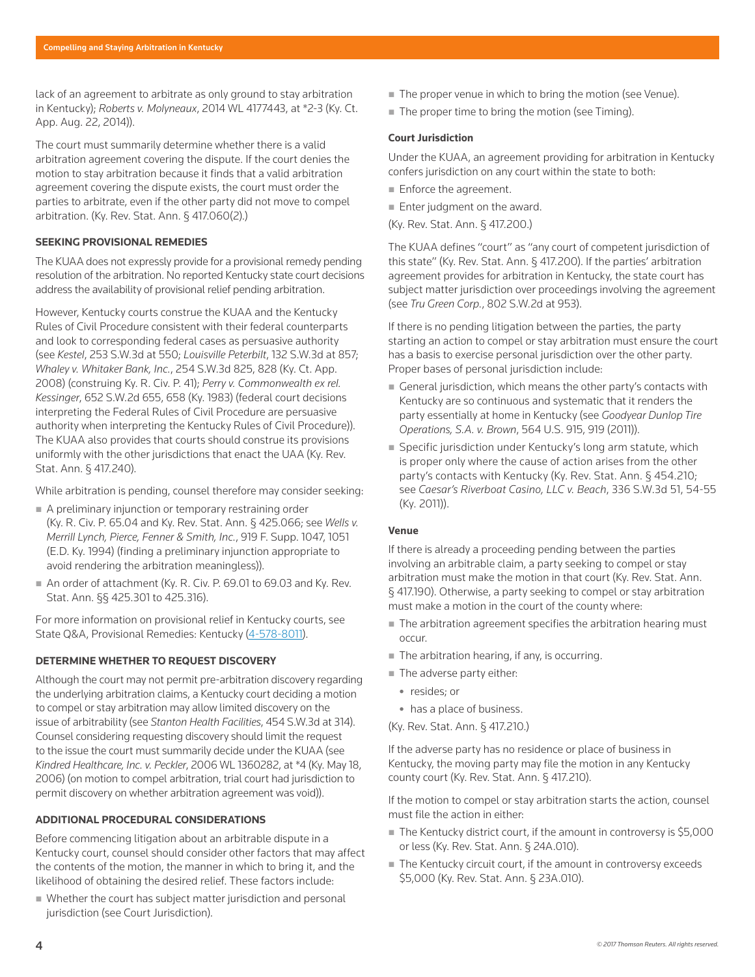lack of an agreement to arbitrate as only ground to stay arbitration in Kentucky); *Roberts v. Molyneaux*, 2014 WL 4177443, at \*2-3 (Ky. Ct. App. Aug. 22, 2014)).

The court must summarily determine whether there is a valid arbitration agreement covering the dispute. If the court denies the motion to stay arbitration because it finds that a valid arbitration agreement covering the dispute exists, the court must order the parties to arbitrate, even if the other party did not move to compel arbitration. (Ky. Rev. Stat. Ann. § 417.060(2).)

# **SEEKING PROVISIONAL REMEDIES**

The KUAA does not expressly provide for a provisional remedy pending resolution of the arbitration. No reported Kentucky state court decisions address the availability of provisional relief pending arbitration.

However, Kentucky courts construe the KUAA and the Kentucky Rules of Civil Procedure consistent with their federal counterparts and look to corresponding federal cases as persuasive authority (see *Kestel*, 253 S.W.3d at 550; *Louisville Peterbilt*, 132 S.W.3d at 857; *Whaley v. Whitaker Bank, Inc.*, 254 S.W.3d 825, 828 (Ky. Ct. App. 2008) (construing Ky. R. Civ. P. 41); *Perry v. Commonwealth ex rel. Kessinger*, 652 S.W.2d 655, 658 (Ky. 1983) (federal court decisions interpreting the Federal Rules of Civil Procedure are persuasive authority when interpreting the Kentucky Rules of Civil Procedure)). The KUAA also provides that courts should construe its provisions uniformly with the other jurisdictions that enact the UAA (Ky. Rev. Stat. Ann. § 417.240).

While arbitration is pending, counsel therefore may consider seeking:

- A preliminary injunction or temporary restraining order (Ky. R. Civ. P. 65.04 and Ky. Rev. Stat. Ann. § 425.066; see *Wells v. Merrill Lynch, Pierce, Fenner & Smith, Inc.*, 919 F. Supp. 1047, 1051 (E.D. Ky. 1994) (finding a preliminary injunction appropriate to avoid rendering the arbitration meaningless)).
- An order of attachment (Ky. R. Civ. P. 69.01 to 69.03 and Ky. Rev. Stat. Ann. §§ 425.301 to 425.316).

For more information on provisional relief in Kentucky courts, see State Q&A, Provisional Remedies: Kentucky (4-578-8011).

#### **DETERMINE WHETHER TO REQUEST DISCOVERY**

Although the court may not permit pre-arbitration discovery regarding the underlying arbitration claims, a Kentucky court deciding a motion to compel or stay arbitration may allow limited discovery on the issue of arbitrability (see *Stanton Health Facilities*, 454 S.W.3d at 314). Counsel considering requesting discovery should limit the request to the issue the court must summarily decide under the KUAA (see *Kindred Healthcare, Inc. v. Peckler*, 2006 WL 1360282, at \*4 (Ky. May 18, 2006) (on motion to compel arbitration, trial court had jurisdiction to permit discovery on whether arbitration agreement was void)).

# **ADDITIONAL PROCEDURAL CONSIDERATIONS**

Before commencing litigation about an arbitrable dispute in a Kentucky court, counsel should consider other factors that may affect the contents of the motion, the manner in which to bring it, and the likelihood of obtaining the desired relief. These factors include:

 Whether the court has subject matter jurisdiction and personal jurisdiction (see Court Jurisdiction).

- The proper venue in which to bring the motion (see Venue).
- The proper time to bring the motion (see Timing).

#### **Court Jurisdiction**

Under the KUAA, an agreement providing for arbitration in Kentucky confers jurisdiction on any court within the state to both:

- **Enforce the agreement.**
- Enter judgment on the award.
- (Ky. Rev. Stat. Ann. § 417.200.)

The KUAA defines "court" as "any court of competent jurisdiction of this state" (Ky. Rev. Stat. Ann. § 417.200). If the parties' arbitration agreement provides for arbitration in Kentucky, the state court has subject matter jurisdiction over proceedings involving the agreement (see *Tru Green Corp.*, 802 S.W.2d at 953).

If there is no pending litigation between the parties, the party starting an action to compel or stay arbitration must ensure the court has a basis to exercise personal jurisdiction over the other party. Proper bases of personal jurisdiction include:

- General jurisdiction, which means the other party's contacts with Kentucky are so continuous and systematic that it renders the party essentially at home in Kentucky (see *Goodyear Dunlop Tire Operations, S.A. v. Brown*, 564 U.S. 915, 919 (2011)).
- Specific jurisdiction under Kentucky's long arm statute, which is proper only where the cause of action arises from the other party's contacts with Kentucky (Ky. Rev. Stat. Ann. § 454.210; see *Caesar's Riverboat Casino, LLC v. Beach*, 336 S.W.3d 51, 54-55 (Ky. 2011)).

#### **Venue**

If there is already a proceeding pending between the parties involving an arbitrable claim, a party seeking to compel or stay arbitration must make the motion in that court (Ky. Rev. Stat. Ann. § 417.190). Otherwise, a party seeking to compel or stay arbitration must make a motion in the court of the county where:

- The arbitration agreement specifies the arbitration hearing must occur.
- The arbitration hearing, if any, is occurring.
- The adverse party either:
	- resides: or
- has a place of business.
- (Ky. Rev. Stat. Ann. § 417.210.)

If the adverse party has no residence or place of business in Kentucky, the moving party may file the motion in any Kentucky county court (Ky. Rev. Stat. Ann. § 417.210).

If the motion to compel or stay arbitration starts the action, counsel must file the action in either:

- The Kentucky district court, if the amount in controversy is \$5,000 or less (Ky. Rev. Stat. Ann. § 24A.010).
- The Kentucky circuit court, if the amount in controversy exceeds \$5,000 (Ky. Rev. Stat. Ann. § 23A.010).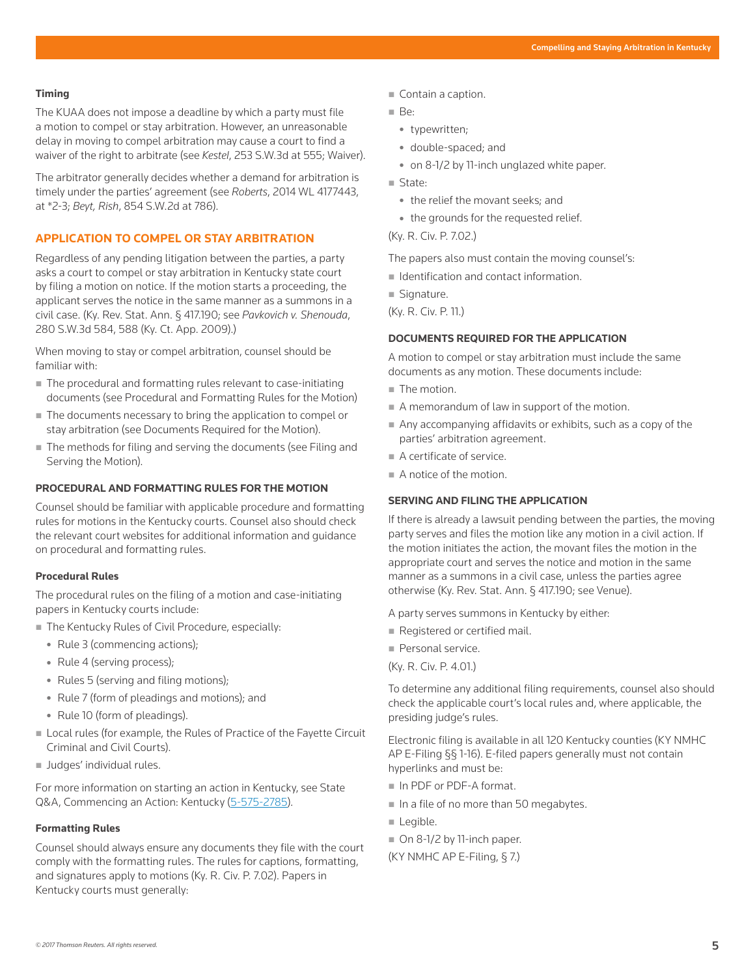# **Timing**

The KUAA does not impose a deadline by which a party must file a motion to compel or stay arbitration. However, an unreasonable delay in moving to compel arbitration may cause a court to find a waiver of the right to arbitrate (see *Kestel*, 253 S.W.3d at 555; Waiver).

The arbitrator generally decides whether a demand for arbitration is timely under the parties' agreement (see *Roberts*, 2014 WL 4177443, at \*2-3; *Beyt, Rish*, 854 S.W.2d at 786).

# **APPLICATION TO COMPEL OR STAY ARBITRATION**

Regardless of any pending litigation between the parties, a party asks a court to compel or stay arbitration in Kentucky state court by filing a motion on notice. If the motion starts a proceeding, the applicant serves the notice in the same manner as a summons in a civil case. (Ky. Rev. Stat. Ann. § 417.190; see *Pavkovich v. Shenouda*, 280 S.W.3d 584, 588 (Ky. Ct. App. 2009).)

When moving to stay or compel arbitration, counsel should be familiar with:

- The procedural and formatting rules relevant to case-initiating documents (see Procedural and Formatting Rules for the Motion)
- The documents necessary to bring the application to compel or stay arbitration (see Documents Required for the Motion).
- The methods for filing and serving the documents (see Filing and Serving the Motion).

# **PROCEDURAL AND FORMATTING RULES FOR THE MOTION**

Counsel should be familiar with applicable procedure and formatting rules for motions in the Kentucky courts. Counsel also should check the relevant court websites for additional information and guidance on procedural and formatting rules.

#### **Procedural Rules**

The procedural rules on the filing of a motion and case-initiating papers in Kentucky courts include:

- The Kentucky Rules of Civil Procedure, especially:
	- Rule 3 (commencing actions);
	- Rule 4 (serving process);
	- Rules 5 (serving and filing motions);
	- Rule 7 (form of pleadings and motions); and
	- Rule 10 (form of pleadings).
- Local rules (for example, the Rules of Practice of the Fayette Circuit Criminal and Civil Courts).
- **Judges' individual rules.**

For more information on starting an action in Kentucky, see State Q&A, Commencing an Action: Kentucky (5-575-2785).

#### **Formatting Rules**

Counsel should always ensure any documents they file with the court comply with the formatting rules. The rules for captions, formatting, and signatures apply to motions (Ky. R. Civ. P. 7.02). Papers in Kentucky courts must generally:

- Contain a caption.
- Be:
	- typewritten;
	- double-spaced; and
	- on 8-1/2 by 11-inch unglazed white paper.
- State:
	- the relief the movant seeks; and
	- the grounds for the requested relief.

(Ky. R. Civ. P. 7.02.)

The papers also must contain the moving counsel's:

- I Identification and contact information.
- Signature.

(Ky. R. Civ. P. 11.)

#### **DOCUMENTS REQUIRED FOR THE APPLICATION**

A motion to compel or stay arbitration must include the same documents as any motion. These documents include:

- The motion.
- A memorandum of law in support of the motion.
- Any accompanying affidavits or exhibits, such as a copy of the parties' arbitration agreement.
- A certificate of service.
- A notice of the motion.

#### **SERVING AND FILING THE APPLICATION**

If there is already a lawsuit pending between the parties, the moving party serves and files the motion like any motion in a civil action. If the motion initiates the action, the movant files the motion in the appropriate court and serves the notice and motion in the same manner as a summons in a civil case, unless the parties agree otherwise (Ky. Rev. Stat. Ann. § 417.190; see Venue).

A party serves summons in Kentucky by either:

Registered or certified mail.

Personal service.

(Ky. R. Civ. P. 4.01.)

To determine any additional filing requirements, counsel also should check the applicable court's local rules and, where applicable, the presiding judge's rules.

Electronic filing is available in all 120 Kentucky counties (KY NMHC AP E-Filing §§ 1-16). E-filed papers generally must not contain hyperlinks and must be:

- In PDF or PDF-A format.
- In a file of no more than 50 megabytes.
- Legible.
- On 8-1/2 by 11-inch paper.
- (KY NMHC AP E-Filing, § 7.)